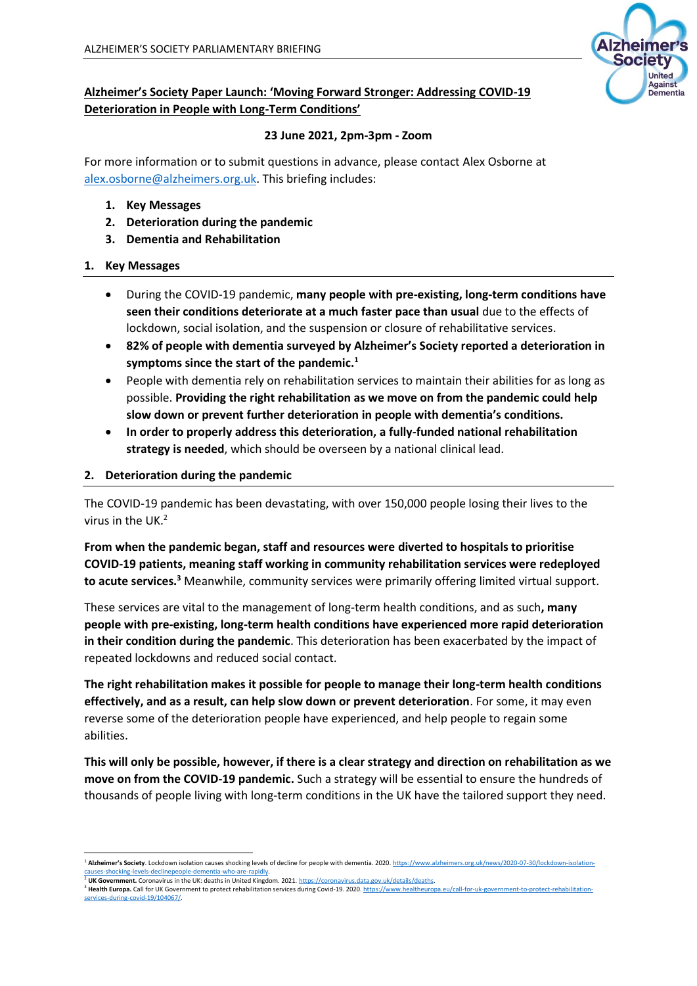

# **Alzheimer's Society Paper Launch: 'Moving Forward Stronger: Addressing COVID-19 Deterioration in People with Long-Term Conditions'**

### **23 June 2021, 2pm-3pm - Zoom**

For more information or to submit questions in advance, please contact Alex Osborne at [alex.osborne@alzheimers.org.uk.](mailto:alex.osborne@alzheimers.org.uk) This briefing includes:

- **1. Key Messages**
- **2. Deterioration during the pandemic**
- **3. Dementia and Rehabilitation**

### **1. Key Messages**

- During the COVID-19 pandemic, **many people with pre-existing, long-term conditions have seen their conditions deteriorate at a much faster pace than usual** due to the effects of lockdown, social isolation, and the suspension or closure of rehabilitative services.
- **82% of people with dementia surveyed by Alzheimer's Society reported a deterioration in symptoms since the start of the pandemic.<sup>1</sup>**
- People with dementia rely on rehabilitation services to maintain their abilities for as long as possible. **Providing the right rehabilitation as we move on from the pandemic could help slow down or prevent further deterioration in people with dementia's conditions.**
- **In order to properly address this deterioration, a fully-funded national rehabilitation strategy is needed**, which should be overseen by a national clinical lead.

### **2. Deterioration during the pandemic**

The COVID-19 pandemic has been devastating, with over 150,000 people losing their lives to the virus in the UK.<sup>2</sup>

**From when the pandemic began, staff and resources were diverted to hospitals to prioritise COVID-19 patients, meaning staff working in community rehabilitation services were redeployed to acute services.<sup>3</sup>** Meanwhile, community services were primarily offering limited virtual support.

These services are vital to the management of long-term health conditions, and as such**, many people with pre-existing, long-term health conditions have experienced more rapid deterioration in their condition during the pandemic**. This deterioration has been exacerbated by the impact of repeated lockdowns and reduced social contact.

**The right rehabilitation makes it possible for people to manage their long-term health conditions effectively, and as a result, can help slow down or prevent deterioration**. For some, it may even reverse some of the deterioration people have experienced, and help people to regain some abilities.

**This will only be possible, however, if there is a clear strategy and direction on rehabilitation as we move on from the COVID-19 pandemic.** Such a strategy will be essential to ensure the hundreds of thousands of people living with long-term conditions in the UK have the tailored support they need.

<sup>1</sup> **Alzheimer's Society**. Lockdown isolation causes shocking levels of decline for people with dementia. 2020[. https://www.alzheimers.org.uk/news/2020-07-30/lockdown-isolation](https://www.alzheimers.org.uk/news/2020-07-30/lockdown-isolation-causes-shocking-levels-declinepeople-dementia-who-are-rapidly)uses-shocking-levels-declinepeople-dementia-who-are <sup>2</sup> **UK Government.** Coronavirus in the UK: deaths in United Kingdom. 2021[. https://coronavirus.data.gov.uk/details/deaths.](https://coronavirus.data.gov.uk/details/deaths)

<sup>&</sup>lt;sup>3</sup> Health Europa. Call for UK Government to protect rehabilitation services during Covid-19. 2020[. https://www.healtheuropa.eu/call-for-uk-government-to-protect-rehabilitation](https://www.healtheuropa.eu/call-for-uk-government-to-protect-rehabilitation-services-during-covid-19/104067/)[services-during-covid-19/104067/.](https://www.healtheuropa.eu/call-for-uk-government-to-protect-rehabilitation-services-during-covid-19/104067/)